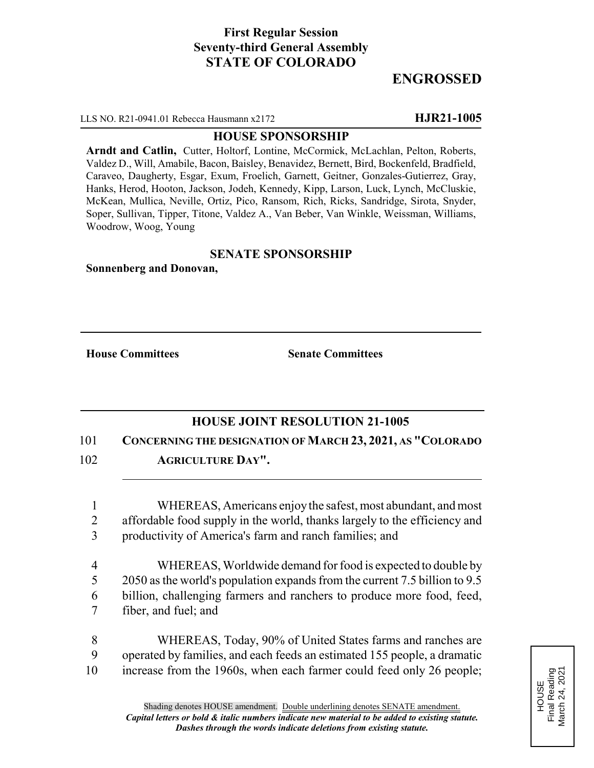# **First Regular Session Seventy-third General Assembly STATE OF COLORADO**

# **ENGROSSED**

LLS NO. R21-0941.01 Rebecca Hausmann x2172 **HJR21-1005**

#### **HOUSE SPONSORSHIP**

**Arndt and Catlin,** Cutter, Holtorf, Lontine, McCormick, McLachlan, Pelton, Roberts, Valdez D., Will, Amabile, Bacon, Baisley, Benavidez, Bernett, Bird, Bockenfeld, Bradfield, Caraveo, Daugherty, Esgar, Exum, Froelich, Garnett, Geitner, Gonzales-Gutierrez, Gray, Hanks, Herod, Hooton, Jackson, Jodeh, Kennedy, Kipp, Larson, Luck, Lynch, McCluskie, McKean, Mullica, Neville, Ortiz, Pico, Ransom, Rich, Ricks, Sandridge, Sirota, Snyder, Soper, Sullivan, Tipper, Titone, Valdez A., Van Beber, Van Winkle, Weissman, Williams, Woodrow, Woog, Young

### **SENATE SPONSORSHIP**

**Sonnenberg and Donovan,**

**House Committees Senate Committees**

## **HOUSE JOINT RESOLUTION 21-1005**

### 101 **CONCERNING THE DESIGNATION OF MARCH 23, 2021, AS "COLORADO**

102 **AGRICULTURE DAY".**

1 WHEREAS, Americans enjoy the safest, most abundant, and most 2 affordable food supply in the world, thanks largely to the efficiency and 3 productivity of America's farm and ranch families; and

 WHEREAS, Worldwide demand for food is expected to double by 2050 as the world's population expands from the current 7.5 billion to 9.5 billion, challenging farmers and ranchers to produce more food, feed, fiber, and fuel; and

8 WHEREAS, Today, 90% of United States farms and ranches are 9 operated by families, and each feeds an estimated 155 people, a dramatic 10 increase from the 1960s, when each farmer could feed only 26 people;

HOUSE<br>Final Reading<br>March 24, 2021 Final Reading March 24, 2021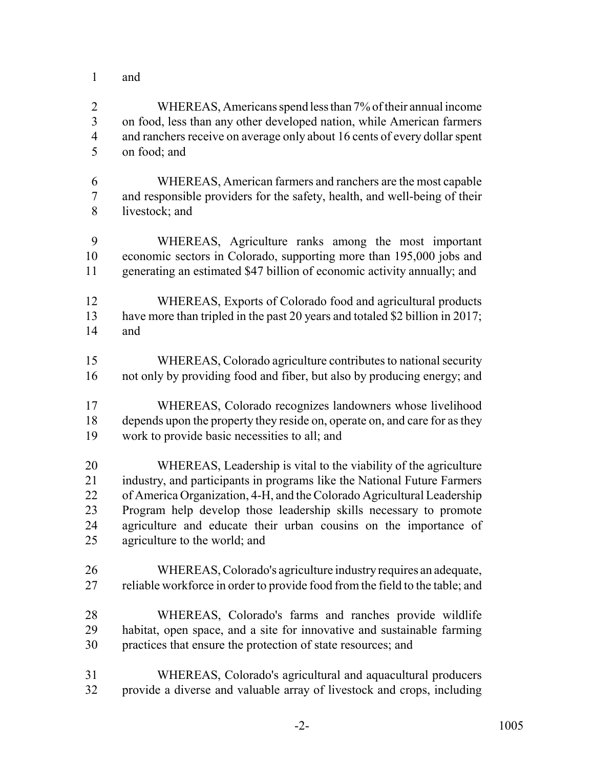and

 WHEREAS, Americans spend less than 7% of their annual income on food, less than any other developed nation, while American farmers 4 and ranchers receive on average only about 16 cents of every dollar spent on food; and

 WHEREAS, American farmers and ranchers are the most capable and responsible providers for the safety, health, and well-being of their livestock; and

 WHEREAS, Agriculture ranks among the most important economic sectors in Colorado, supporting more than 195,000 jobs and generating an estimated \$47 billion of economic activity annually; and

- WHEREAS, Exports of Colorado food and agricultural products have more than tripled in the past 20 years and totaled \$2 billion in 2017; and
- WHEREAS, Colorado agriculture contributes to national security not only by providing food and fiber, but also by producing energy; and
- WHEREAS, Colorado recognizes landowners whose livelihood depends upon the property they reside on, operate on, and care for as they work to provide basic necessities to all; and

 WHEREAS, Leadership is vital to the viability of the agriculture industry, and participants in programs like the National Future Farmers of America Organization, 4-H, and the Colorado Agricultural Leadership Program help develop those leadership skills necessary to promote agriculture and educate their urban cousins on the importance of agriculture to the world; and

- WHEREAS, Colorado's agriculture industry requires an adequate, 27 reliable workforce in order to provide food from the field to the table; and
- WHEREAS, Colorado's farms and ranches provide wildlife habitat, open space, and a site for innovative and sustainable farming practices that ensure the protection of state resources; and
- WHEREAS, Colorado's agricultural and aquacultural producers provide a diverse and valuable array of livestock and crops, including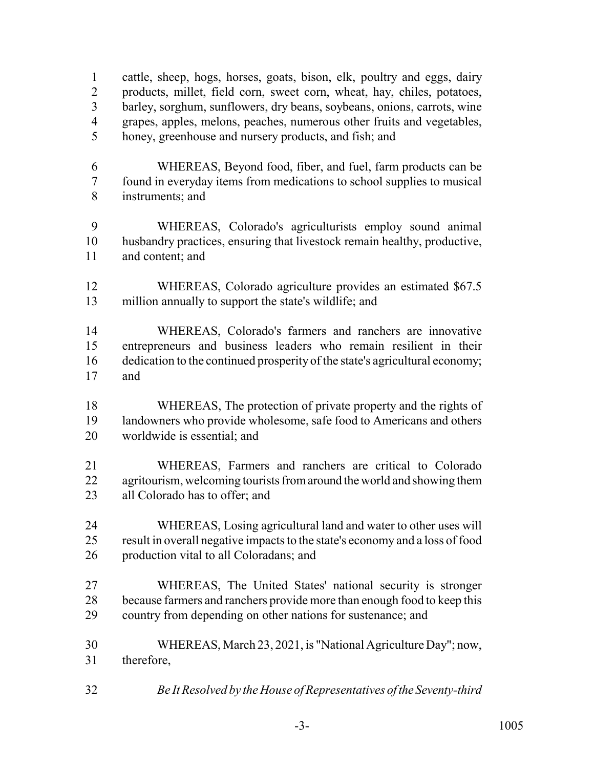cattle, sheep, hogs, horses, goats, bison, elk, poultry and eggs, dairy products, millet, field corn, sweet corn, wheat, hay, chiles, potatoes, barley, sorghum, sunflowers, dry beans, soybeans, onions, carrots, wine grapes, apples, melons, peaches, numerous other fruits and vegetables, honey, greenhouse and nursery products, and fish; and

- WHEREAS, Beyond food, fiber, and fuel, farm products can be found in everyday items from medications to school supplies to musical instruments; and
- WHEREAS, Colorado's agriculturists employ sound animal husbandry practices, ensuring that livestock remain healthy, productive, and content; and
- WHEREAS, Colorado agriculture provides an estimated \$67.5 million annually to support the state's wildlife; and

 WHEREAS, Colorado's farmers and ranchers are innovative entrepreneurs and business leaders who remain resilient in their dedication to the continued prosperity of the state's agricultural economy; and

- WHEREAS, The protection of private property and the rights of landowners who provide wholesome, safe food to Americans and others worldwide is essential; and
- WHEREAS, Farmers and ranchers are critical to Colorado 22 agritourism, welcoming tourists from around the world and showing them all Colorado has to offer; and
- WHEREAS, Losing agricultural land and water to other uses will result in overall negative impacts to the state's economy and a loss of food production vital to all Coloradans; and
- WHEREAS, The United States' national security is stronger because farmers and ranchers provide more than enough food to keep this country from depending on other nations for sustenance; and
- WHEREAS, March 23, 2021, is "National Agriculture Day"; now, therefore,
- *Be It Resolved by the House of Representatives of the Seventy-third*